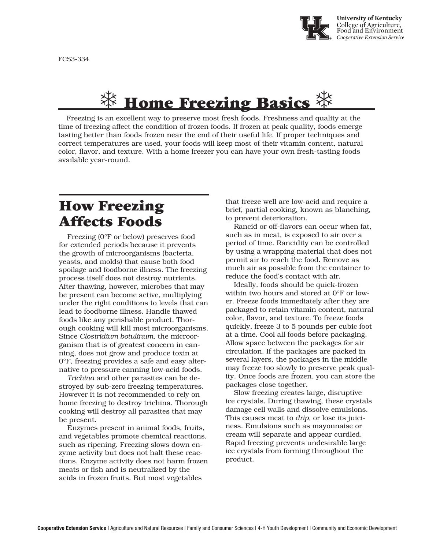

# $\frac{11}{11}$  Home Freezing Basics  $\frac{11}{11}$

Freezing is an excellent way to preserve most fresh foods. Freshness and quality at the time of freezing affect the condition of frozen foods. If frozen at peak quality, foods emerge tasting better than foods frozen near the end of their useful life. If proper techniques and correct temperatures are used, your foods will keep most of their vitamin content, natural color, flavor, and texture. With a home freezer you can have your own fresh-tasting foods available year-round.

### How Freezing Affects Foods

Freezing (0°F or below) preserves food for extended periods because it prevents the growth of microorganisms (bacteria, yeasts, and molds) that cause both food spoilage and foodborne illness. The freezing process itself does not destroy nutrients. After thawing, however, microbes that may be present can become active, multiplying under the right conditions to levels that can lead to foodborne illness. Handle thawed foods like any perishable product. Thorough cooking will kill most microorganisms. Since *Clostridium botulinum*, the microorganism that is of greatest concern in canning, does not grow and produce toxin at 0°F, freezing provides a safe and easy alternative to pressure canning low-acid foods.

*Trichina* and other parasites can be destroyed by sub-zero freezing temperatures. However it is not recommended to rely on home freezing to destroy trichina. Thorough cooking will destroy all parasites that may be present.

Enzymes present in animal foods, fruits, and vegetables promote chemical reactions, such as ripening. Freezing slows down enzyme activity but does not halt these reactions. Enzyme activity does not harm frozen meats or fish and is neutralized by the acids in frozen fruits. But most vegetables

that freeze well are low-acid and require a brief, partial cooking, known as blanching, to prevent deterioration.

Rancid or off-flavors can occur when fat, such as in meat, is exposed to air over a period of time. Rancidity can be controlled by using a wrapping material that does not permit air to reach the food. Remove as much air as possible from the container to reduce the food's contact with air.

Ideally, foods should be quick-frozen within two hours and stored at 0°F or lower. Freeze foods immediately after they are packaged to retain vitamin content, natural color, flavor, and texture. To freeze foods quickly, freeze 3 to 5 pounds per cubic foot at a time. Cool all foods before packaging. Allow space between the packages for air circulation. If the packages are packed in several layers, the packages in the middle may freeze too slowly to preserve peak quality. Once foods are frozen, you can store the packages close together.

Slow freezing creates large, disruptive ice crystals. During thawing, these crystals damage cell walls and dissolve emulsions. This causes meat to *drip,* or lose its juiciness. Emulsions such as mayonnaise or cream will separate and appear curdled. Rapid freezing prevents undesirable large ice crystals from forming throughout the product.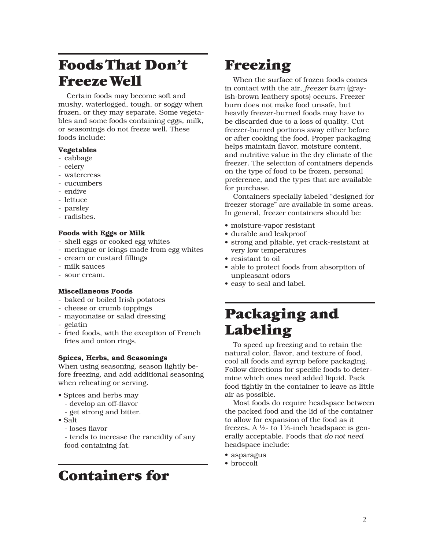## Foods That Don't Freeze Well

Certain foods may become soft and mushy, waterlogged, tough, or soggy when frozen, or they may separate. Some vegetables and some foods containing eggs, milk, or seasonings do not freeze well. These foods include:

#### Vegetables

- cabbage
- celery
- watercress
- cucumbers
- endive
- lettuce
- parsley
- radishes.

#### Foods with Eggs or Milk

- shell eggs or cooked egg whites
- meringue or icings made from egg whites
- cream or custard fillings
- milk sauces
- sour cream.

#### Miscellaneous Foods

- baked or boiled Irish potatoes
- cheese or crumb toppings
- mayonnaise or salad dressing
- gelatin
- fried foods, with the exception of French fries and onion rings.

#### Spices, Herbs, and Seasonings

When using seasoning, season lightly before freezing, and add additional seasoning when reheating or serving.

- Spices and herbs may
	- develop an off-flavor
	- get strong and bitter.
- Salt
	- loses flavor

- tends to increase the rancidity of any food containing fat.

## Containers for

### Freezing

When the surface of frozen foods comes in contact with the air, *freezer burn* (grayish-brown leathery spots) occurs. Freezer burn does not make food unsafe, but heavily freezer-burned foods may have to be discarded due to a loss of quality. Cut freezer-burned portions away either before or after cooking the food. Proper packaging helps maintain flavor, moisture content, and nutritive value in the dry climate of the freezer. The selection of containers depends on the type of food to be frozen, personal preference, and the types that are available for purchase.

Containers specially labeled "designed for freezer storage" are available in some areas. In general, freezer containers should be:

- moisture-vapor resistant
- durable and leakproof
- strong and pliable, yet crack-resistant at very low temperatures
- resistant to oil
- able to protect foods from absorption of unpleasant odors
- easy to seal and label.

## Packaging and Labeling

To speed up freezing and to retain the natural color, flavor, and texture of food, cool all foods and syrup before packaging. Follow directions for specific foods to determine which ones need added liquid. Pack food tightly in the container to leave as little air as possible.

Most foods do require headspace between the packed food and the lid of the container to allow for expansion of the food as it freezes. A  $\frac{1}{2}$ - to  $1\frac{1}{2}$ -inch headspace is generally acceptable. Foods that *do not need* headspace include:

- asparagus
- broccoli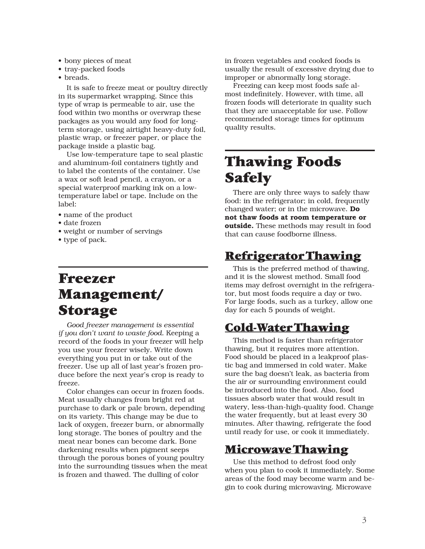- bony pieces of meat
- tray-packed foods
- breads.

It is safe to freeze meat or poultry directly in its supermarket wrapping. Since this type of wrap is permeable to air, use the food within two months or overwrap these packages as you would any food for longterm storage, using airtight heavy-duty foil, plastic wrap, or freezer paper, or place the package inside a plastic bag.

Use low-temperature tape to seal plastic and aluminum-foil containers tightly and to label the contents of the container. Use a wax or soft lead pencil, a crayon, or a special waterproof marking ink on a lowtemperature label or tape. Include on the label:

- name of the product
- date frozen
- weight or number of servings
- type of pack.

### Freezer Management/ Storage

*Good freezer management is essential if you don't want to waste food.* Keeping a record of the foods in your freezer will help you use your freezer wisely. Write down everything you put in or take out of the freezer. Use up all of last year's frozen produce before the next year's crop is ready to freeze.

Color changes can occur in frozen foods. Meat usually changes from bright red at purchase to dark or pale brown, depending on its variety. This change may be due to lack of oxygen, freezer burn, or abnormally long storage. The bones of poultry and the meat near bones can become dark. Bone darkening results when pigment seeps through the porous bones of young poultry into the surrounding tissues when the meat is frozen and thawed. The dulling of color

in frozen vegetables and cooked foods is usually the result of excessive drying due to improper or abnormally long storage.

Freezing can keep most foods safe almost indefinitely. However, with time, all frozen foods will deteriorate in quality such that they are unacceptable for use. Follow recommended storage times for optimum quality results.

## Thawing Foods **Safely**

There are only three ways to safely thaw food: in the refrigerator; in cold, frequently changed water; or in the microwave. Do not thaw foods at room temperature or outside. These methods may result in food that can cause foodborne illness.

#### Refrigerator Thawing

This is the preferred method of thawing, and it is the slowest method. Small food items may defrost overnight in the refrigerator, but most foods require a day or two. For large foods, such as a turkey, allow one day for each 5 pounds of weight.

#### Cold-Water Thawing

This method is faster than refrigerator thawing, but it requires more attention. Food should be placed in a leakproof plastic bag and immersed in cold water. Make sure the bag doesn't leak, as bacteria from the air or surrounding environment could be introduced into the food. Also, food tissues absorb water that would result in watery, less-than-high-quality food. Change the water frequently, but at least every 30 minutes. After thawing, refrigerate the food until ready for use, or cook it immediately.

#### Microwave Thawing

Use this method to defrost food only when you plan to cook it immediately. Some areas of the food may become warm and begin to cook during microwaving. Microwave